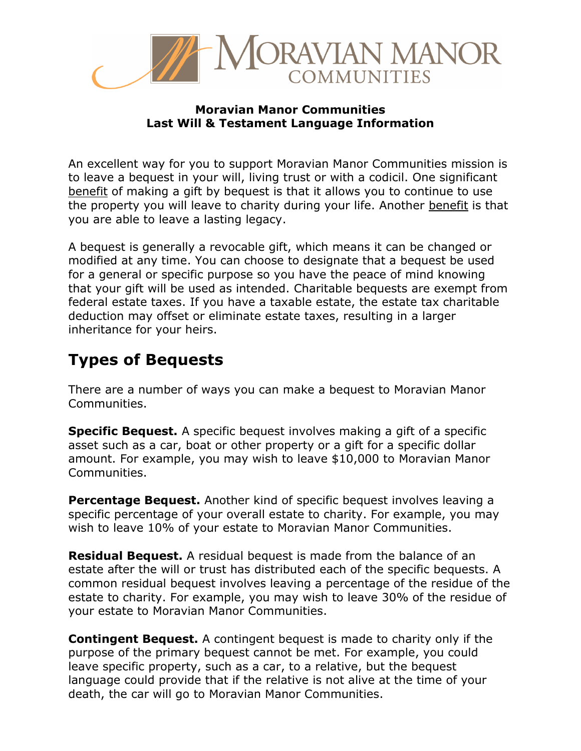

#### **Moravian Manor Communities Last Will & Testament Language Information**

An excellent way for you to support Moravian Manor Communities mission is to leave a bequest in your will, living trust or with a codicil. One significant benefit of making a gift by bequest is that it allows you to continue to use the property you will leave to charity during your life. Another benefit is that you are able to leave a lasting legacy.

A bequest is generally a revocable gift, which means it can be changed or modified at any time. You can choose to designate that a bequest be used for a general or specific purpose so you have the peace of mind knowing that your gift will be used as intended. Charitable bequests are exempt from federal estate taxes. If you have a taxable estate, the estate tax charitable deduction may offset or eliminate estate taxes, resulting in a larger inheritance for your heirs.

## **Types of Bequests**

There are a number of ways you can make a bequest to Moravian Manor Communities.

**Specific Bequest.** A specific bequest involves making a gift of a specific asset such as a car, boat or other property or a gift for a specific dollar amount. For example, you may wish to leave \$10,000 to Moravian Manor Communities.

**Percentage Bequest.** Another kind of specific bequest involves leaving a specific percentage of your overall estate to charity. For example, you may wish to leave 10% of your estate to Moravian Manor Communities.

**Residual Bequest.** A residual bequest is made from the balance of an estate after the will or trust has distributed each of the specific bequests. A common residual bequest involves leaving a percentage of the residue of the estate to charity. For example, you may wish to leave 30% of the residue of your estate to Moravian Manor Communities.

**Contingent Bequest.** A contingent bequest is made to charity only if the purpose of the primary bequest cannot be met. For example, you could leave specific property, such as a car, to a relative, but the bequest language could provide that if the relative is not alive at the time of your death, the car will go to Moravian Manor Communities.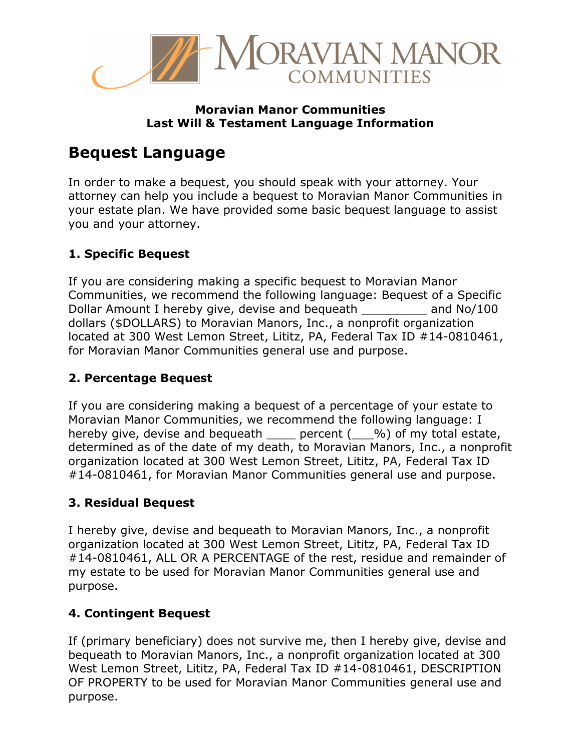

#### **Moravian Manor Communities Last Will & Testament Language Information**

## **Bequest Language**

In order to make a bequest, you should speak with your attorney. Your attorney can help you include a bequest to Moravian Manor Communities in your estate plan. We have provided some basic bequest language to assist you and your attorney.

### **1. Specific Bequest**

If you are considering making a specific bequest to Moravian Manor Communities, we recommend the following language: Bequest of a Specific Dollar Amount I hereby give, devise and bequeath \_\_\_\_\_\_\_\_\_ and No/100 dollars (\$DOLLARS) to Moravian Manors, Inc., a nonprofit organization located at 300 West Lemon Street, Lititz, PA, Federal Tax ID #14-0810461, for Moravian Manor Communities general use and purpose.

### **2. Percentage Bequest**

If you are considering making a bequest of a percentage of your estate to Moravian Manor Communities, we recommend the following language: I hereby give, devise and bequeath \_\_\_\_ percent (\_\_\_%) of my total estate, determined as of the date of my death, to Moravian Manors, Inc., a nonprofit organization located at 300 West Lemon Street, Lititz, PA, Federal Tax ID #14-0810461, for Moravian Manor Communities general use and purpose.

### **3. Residual Bequest**

I hereby give, devise and bequeath to Moravian Manors, Inc., a nonprofit organization located at 300 West Lemon Street, Lititz, PA, Federal Tax ID #14-0810461, ALL OR A PERCENTAGE of the rest, residue and remainder of my estate to be used for Moravian Manor Communities general use and purpose.

### **4. Contingent Bequest**

If (primary beneficiary) does not survive me, then I hereby give, devise and bequeath to Moravian Manors, Inc., a nonprofit organization located at 300 West Lemon Street, Lititz, PA, Federal Tax ID #14-0810461, DESCRIPTION OF PROPERTY to be used for Moravian Manor Communities general use and purpose.